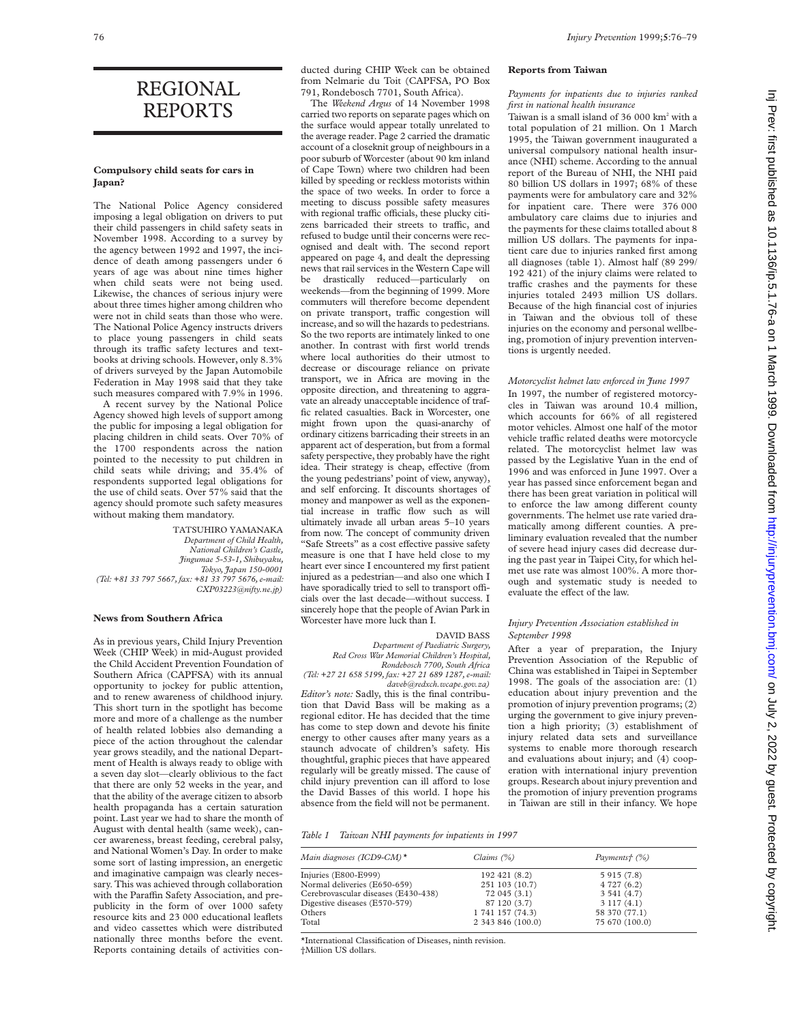# REGIONAL REPORTS

# **Compulsory child seats for cars in Japan?**

The National Police Agency considered imposing a legal obligation on drivers to put their child passengers in child safety seats in November 1998. According to a survey by the agency between 1992 and 1997, the incidence of death among passengers under 6 years of age was about nine times higher when child seats were not being used. Likewise, the chances of serious injury were about three times higher among children who were not in child seats than those who were. The National Police Agency instructs drivers to place young passengers in child seats through its traffic safety lectures and textbooks at driving schools. However, only 8.3% of drivers surveyed by the Japan Automobile Federation in May 1998 said that they take such measures compared with 7.9% in 1996.

A recent survey by the National Police Agency showed high levels of support among the public for imposing a legal obligation for placing children in child seats. Over 70% of the 1700 respondents across the nation pointed to the necessity to put children in child seats while driving; and 35.4% of respondents supported legal obligations for the use of child seats. Over 57% said that the agency should promote such safety measures without making them mandatory.

TATSUHIRO YAMANAKA *Department of Child Health, National Children's Castle, Jingumae 5-53-1, Shibuyaku, Tokyo, Japan 150-0001 (Tel: +81 33 797 5667, fax: +81 33 797 5676, e-mail: CXP03223@nifty.ne.jp)*

#### **News from Southern Africa**

As in previous years, Child Injury Prevention Week (CHIP Week) in mid-August provided the Child Accident Prevention Foundation of Southern Africa (CAPFSA) with its annual opportunity to jockey for public attention, and to renew awareness of childhood injury. This short turn in the spotlight has become more and more of a challenge as the number of health related lobbies also demanding a piece of the action throughout the calendar year grows steadily, and the national Department of Health is always ready to oblige with a seven day slot—clearly oblivious to the fact that there are only 52 weeks in the year, and that the ability of the average citizen to absorb health propaganda has a certain saturation point. Last year we had to share the month of August with dental health (same week), cancer awareness, breast feeding, cerebral palsy, and National Women's Day. In order to make some sort of lasting impression, an energetic and imaginative campaign was clearly necessary. This was achieved through collaboration with the Paraffin Safety Association, and prepublicity in the form of over 1000 safety resource kits and 23 000 educational leaflets and video cassettes which were distributed nationally three months before the event. Reports containing details of activities conducted during CHIP Week can be obtained from Nelmarie du Toit (CAPFSA, PO Box 791, Rondebosch 7701, South Africa).

The *Weekend Argus* of 14 November 1998 carried two reports on separate pages which on the surface would appear totally unrelated to the average reader. Page 2 carried the dramatic account of a closeknit group of neighbours in a poor suburb of Worcester (about 90 km inland of Cape Town) where two children had been killed by speeding or reckless motorists within the space of two weeks. In order to force a meeting to discuss possible safety measures with regional traffic officials, these plucky citizens barricaded their streets to traffic, and refused to budge until their concerns were recognised and dealt with. The second report appeared on page 4, and dealt the depressing news that rail services in the Western Cape will be drastically reduced—particularly on weekends—from the beginning of 1999. More commuters will therefore become dependent on private transport, traffic congestion will increase, and so will the hazards to pedestrians. So the two reports are intimately linked to one another. In contrast with first world trends where local authorities do their utmost to decrease or discourage reliance on private transport, we in Africa are moving in the opposite direction, and threatening to aggravate an already unacceptable incidence of traffic related casualties. Back in Worcester, one might frown upon the quasi-anarchy of ordinary citizens barricading their streets in an apparent act of desperation, but from a formal safety perspective, they probably have the right idea. Their strategy is cheap, effective (from the young pedestrians' point of view, anyway), and self enforcing. It discounts shortages of money and manpower as well as the exponential increase in traffic flow such as will ultimately invade all urban areas 5–10 years from now. The concept of community driven "Safe Streets" as a cost effective passive safety measure is one that I have held close to my heart ever since I encountered my first patient injured as a pedestrian—and also one which I have sporadically tried to sell to transport officials over the last decade—without success. I sincerely hope that the people of Avian Park in Worcester have more luck than I.

#### DAVID BASS

*Department of Paediatric Surgery, Red Cross War Memorial Children's Hospital, Rondebosch 7700, South Africa (Tel: +27 21 658 5199, fax: +27 21 689 1287, e-mail:*

*daveb@redxch.wcape.gov.za) Editor's note:* Sadly, this is the final contribution that David Bass will be making as a regional editor. He has decided that the time has come to step down and devote his finite energy to other causes after many years as a staunch advocate of children's safety. His thoughtful, graphic pieces that have appeared regularly will be greatly missed. The cause of child injury prevention can ill afford to lose the David Basses of this world. I hope his absence from the field will not be permanent.

#### **Reports from Taiwan**

*Payments for inpatients due to injuries ranked first in national health insurance*

Taiwan is a small island of  $36,000$  km<sup>2</sup> with a total population of 21 million. On 1 March 1995, the Taiwan government inaugurated a universal compulsory national health insurance (NHI) scheme. According to the annual report of the Bureau of NHI, the NHI paid 80 billion US dollars in 1997; 68% of these payments were for ambulatory care and 32% for inpatient care. There were 376 000 ambulatory care claims due to injuries and the payments for these claims totalled about 8 million US dollars. The payments for inpatient care due to injuries ranked first among all diagnoses (table 1). Almost half (89 299/ 192 421) of the injury claims were related to traffic crashes and the payments for these injuries totaled 2493 million US dollars. Because of the high financial cost of injuries in Taiwan and the obvious toll of these injuries on the economy and personal wellbeing, promotion of injury prevention interventions is urgently needed.

## *Motorcyclist helmet law enforced in June 1997*

In 1997, the number of registered motorcycles in Taiwan was around 10.4 million, which accounts for 66% of all registered motor vehicles. Almost one half of the motor vehicle traffic related deaths were motorcycle related. The motorcyclist helmet law was passed by the Legislative Yuan in the end of 1996 and was enforced in June 1997. Over a year has passed since enforcement began and there has been great variation in political will to enforce the law among different county governments. The helmet use rate varied dramatically among different counties. A preliminary evaluation revealed that the number of severe head injury cases did decrease during the past year in Taipei City, for which helmet use rate was almost 100%. A more thorough and systematic study is needed to evaluate the effect of the law.

### *Injury Prevention Association established in September 1998*

After a year of preparation, the Injury Prevention Association of the Republic of China was established in Taipei in September 1998. The goals of the association are: (1) education about injury prevention and the promotion of injury prevention programs; (2) urging the government to give injury prevention a high priority; (3) establishment of injury related data sets and surveillance systems to enable more thorough research and evaluations about injury; and (4) cooperation with international injury prevention groups. Research about injury prevention and the promotion of injury prevention programs in Taiwan are still in their infancy. We hope

#### *Table 1 Taiwan NHI payments for inpatients in 1997*

| Main diagnoses (ICD9-CM) $*$        | Claims $(\%)$     | Payments† (%)  |
|-------------------------------------|-------------------|----------------|
| Injuries (E800-E999)                | 192 421 (8.2)     | 5 915 (7.8)    |
| Normal deliveries (E650-659)        | 251 103 (10.7)    | 4 727 (6.2)    |
| Cerebrovascular diseases (E430-438) | 72045(3.1)        | 3541(4.7)      |
| Digestive diseases (E570-579)       | 87 120 (3.7)      | 3117(4.1)      |
| Others                              | 1 741 157 (74.3)  | 58 370 (77.1)  |
| Total                               | 2 343 846 (100.0) | 75 670 (100.0) |

\*International Classification of Diseases, ninth revision.

†Million US dollars.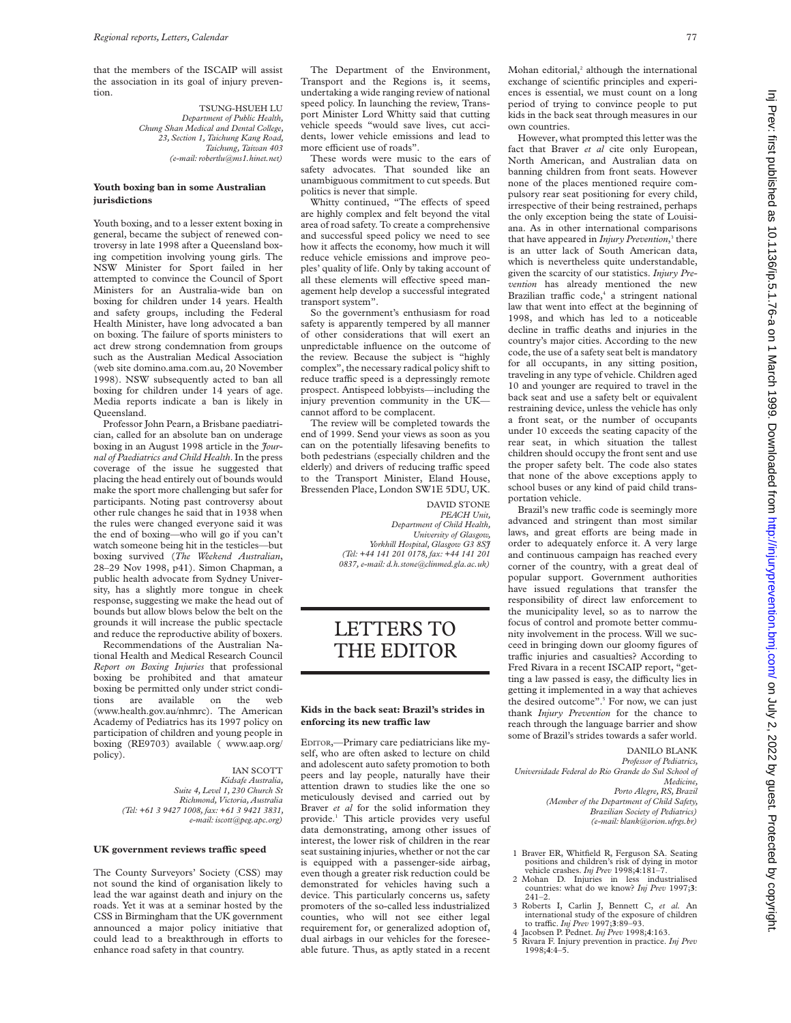that the members of the ISCAIP will assist the association in its goal of injury prevention.

> TSUNG-HSUEH LU *Department of Public Health, Chung Shan Medical and Dental College, 23, Section 1, Taichung Kang Road, Taichung, Taiwan 403 (e-mail: robertlu@ms1.hinet.net)*

## **Youth boxing ban in some Australian jurisdictions**

Youth boxing, and to a lesser extent boxing in general, became the subject of renewed controversy in late 1998 after a Queensland boxing competition involving young girls. The NSW Minister for Sport failed in her attempted to convince the Council of Sport Ministers for an Australia-wide ban on boxing for children under 14 years. Health and safety groups, including the Federal Health Minister, have long advocated a ban on boxing. The failure of sports ministers to act drew strong condemnation from groups such as the Australian Medical Association (web site domino.ama.com.au, 20 November 1998). NSW subsequently acted to ban all boxing for children under 14 years of age. Media reports indicate a ban is likely in Queensland.

Professor John Pearn, a Brisbane paediatrician, called for an absolute ban on underage boxing in an August 1998 article in the *Journal of Paediatrics and Child Health*. In the press coverage of the issue he suggested that placing the head entirely out of bounds would make the sport more challenging but safer for participants. Noting past controversy about other rule changes he said that in 1938 when the rules were changed everyone said it was the end of boxing—who will go if you can't watch someone being hit in the testicles—but boxing survived (*The Weekend Australian*, 28–29 Nov 1998, p41). Simon Chapman, a public health advocate from Sydney University, has a slightly more tongue in cheek response, suggesting we make the head out of bounds but allow blows below the belt on the grounds it will increase the public spectacle and reduce the reproductive ability of boxers.

Recommendations of the Australian National Health and Medical Research Council *Report on Boxing Injuries* that professional boxing be prohibited and that amateur boxing be permitted only under strict conditions are available on the web (www.health.gov.au/nhmrc). The American Academy of Pediatrics has its 1997 policy on participation of children and young people in boxing (RE9703) available ( www.aap.org/ policy).

> IAN SCOTT *Kidsafe Australia, Suite 4, Level 1, 230 Church St Richmond, Victoria, Australia (Tel: +61 3 9427 1008, fax: +61 3 9421 3831, e-mail: iscott@peg.apc.org)*

### **UK government reviews traYc speed**

The County Surveyors' Society (CSS) may not sound the kind of organisation likely to lead the war against death and injury on the roads. Yet it was at a seminar hosted by the CSS in Birmingham that the UK government announced a major policy initiative that could lead to a breakthrough in efforts to enhance road safety in that country.

The Department of the Environment, Transport and the Regions is, it seems, undertaking a wide ranging review of national speed policy. In launching the review, Transport Minister Lord Whitty said that cutting vehicle speeds "would save lives, cut accidents, lower vehicle emissions and lead to more efficient use of roads".

These words were music to the ears of safety advocates. That sounded like an unambiguous commitment to cut speeds. But politics is never that simple.

Whitty continued, "The effects of speed are highly complex and felt beyond the vital area of road safety. To create a comprehensive and successful speed policy we need to see how it affects the economy, how much it will reduce vehicle emissions and improve peoples' quality of life. Only by taking account of all these elements will effective speed management help develop a successful integrated transport system".

So the government's enthusiasm for road safety is apparently tempered by all manner of other considerations that will exert an unpredictable influence on the outcome of the review. Because the subject is "highly complex", the necessary radical policy shift to reduce traffic speed is a depressingly remote prospect. Antispeed lobbyists—including the injury prevention community in the UK cannot afford to be complacent.

The review will be completed towards the end of 1999. Send your views as soon as you can on the potentially lifesaving benefits to both pedestrians (especially children and the elderly) and drivers of reducing traffic speed to the Transport Minister, Eland House, Bressenden Place, London SW1E 5DU, UK.

> DAVID STONE *PEACH Unit, Department of Child Health, University of Glasgow, Yorkhill Hospital, Glasgow G3 8SJ (Tel: +44 141 201 0178, fax: +44 141 201 0837, e-mail: d.h.stone@clinmed.gla.ac.uk)*

# LETTERS TO THE EDITOR

## **Kids in the back seat: Brazil's strides in enforcing its new traYc law**

EDITOR,—Primary care pediatricians like myself, who are often asked to lecture on child and adolescent auto safety promotion to both peers and lay people, naturally have their attention drawn to studies like the one so meticulously devised and carried out by Braver *et al* for the solid information they provide.1 This article provides very useful data demonstrating, among other issues of interest, the lower risk of children in the rear seat sustaining injuries, whether or not the car is equipped with a passenger-side airbag, even though a greater risk reduction could be demonstrated for vehicles having such a device. This particularly concerns us, safety promoters of the so-called less industrialized counties, who will not see either legal requirement for, or generalized adoption of, dual airbags in our vehicles for the foreseeable future. Thus, as aptly stated in a recent

Mohan editorial,<sup>2</sup> although the international exchange of scientific principles and experiences is essential, we must count on a long period of trying to convince people to put kids in the back seat through measures in our own countries.

However, what prompted this letter was the fact that Braver *et al* cite only European, North American, and Australian data on banning children from front seats. However none of the places mentioned require compulsory rear seat positioning for every child, irrespective of their being restrained, perhaps the only exception being the state of Louisiana. As in other international comparisons that have appeared in *Injury Prevention*, <sup>3</sup> there is an utter lack of South American data, which is nevertheless quite understandable, given the scarcity of our statistics. *Injury Prevention* has already mentioned the new Brazilian traffic code,<sup>4</sup> a stringent national law that went into effect at the beginning of 1998, and which has led to a noticeable decline in traffic deaths and injuries in the country's major cities. According to the new code, the use of a safety seat belt is mandatory for all occupants, in any sitting position, traveling in any type of vehicle. Children aged 10 and younger are required to travel in the back seat and use a safety belt or equivalent restraining device, unless the vehicle has only a front seat, or the number of occupants under 10 exceeds the seating capacity of the rear seat, in which situation the tallest children should occupy the front sent and use the proper safety belt. The code also states that none of the above exceptions apply to school buses or any kind of paid child transportation vehicle.

Brazil's new traffic code is seemingly more advanced and stringent than most similar laws, and great efforts are being made in order to adequately enforce it. A very large and continuous campaign has reached every corner of the country, with a great deal of popular support. Government authorities have issued regulations that transfer the responsibility of direct law enforcement to the municipality level, so as to narrow the focus of control and promote better community involvement in the process. Will we succeed in bringing down our gloomy figures of traffic injuries and casualties? According to Fred Rivara in a recent ISCAIP report, "getting a law passed is easy, the difficulty lies in getting it implemented in a way that achieves the desired outcome".<sup>5</sup> For now, we can just thank *Injury Prevention* for the chance to reach through the language barrier and show some of Brazil's strides towards a safer world.

DANILO BLANK

*Professor of Pediatrics, Universidade Federal do Rio Grande do Sul School of Medicine,*

*Porto Alegre, RS, Brazil (Member of the Department of Child Safety, Brazilian Society of Pediatrics) (e-mail: blank@orion.ufrgs.br)*

- 1 Braver ER, Whitfield R, Ferguson SA. Seating positions and children's risk of dying in motor
- vehicle crashes. *Inj Prev* 1998;**4**:181–7. 2 Mohan D. Injuries in less industrialised countries: what do we know? *Inj Prev* 1997;**3**: 241–2.
- 3 Roberts I, Carlin J, Bennett C, *et al.* An international study of the exposure of children to traffic. *Inj Prev* 1997;**3**:89–93.
- 4 Jacobsen P. Pednet. *Inj Prev* 1998;**4**:163. 5 Rivara F. Injury prevention in practice. *Inj Prev*
	- 1998;**4**:4–5.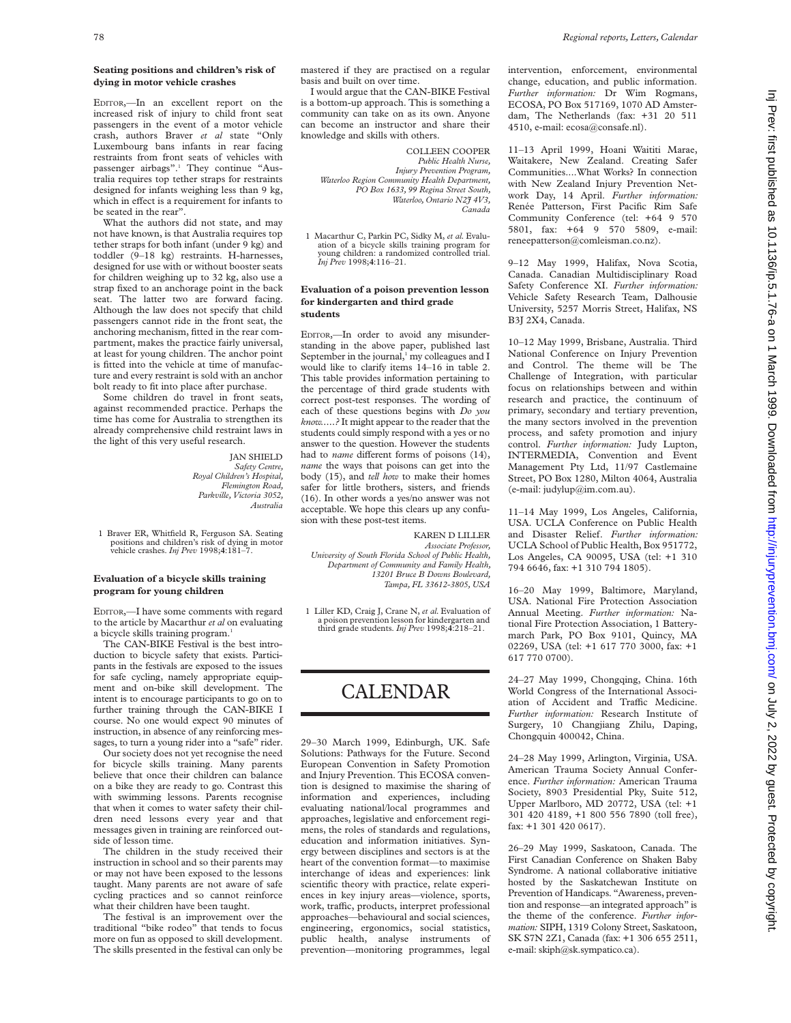## **Seating positions and children's risk of dying in motor vehicle crashes**

EDITOR,—In an excellent report on the increased risk of injury to child front seat passengers in the event of a motor vehicle crash, authors Braver *et al* state "Only Luxembourg bans infants in rear facing restraints from front seats of vehicles with passenger airbags".<sup>1</sup> They continue "Australia requires top tether straps for restraints designed for infants weighing less than 9 kg, which in effect is a requirement for infants to be seated in the rear".

What the authors did not state, and may not have known, is that Australia requires top tether straps for both infant (under 9 kg) and toddler (9–18 kg) restraints. H-harnesses, designed for use with or without booster seats for children weighing up to 32 kg, also use a strap fixed to an anchorage point in the back seat. The latter two are forward facing. Although the law does not specify that child passengers cannot ride in the front seat, the anchoring mechanism, fitted in the rear compartment, makes the practice fairly universal, at least for young children. The anchor point is fitted into the vehicle at time of manufacture and every restraint is sold with an anchor bolt ready to fit into place after purchase.

Some children do travel in front seats, against recommended practice. Perhaps the time has come for Australia to strengthen its already comprehensive child restraint laws in the light of this very useful research.

> JAN SHIELD *Safety Centre, Royal Children's Hospital, Flemington Road, Parkville, Victoria 3052, Australia*

1 Braver ER, Whitfield R, Ferguson SA. Seating positions and children's risk of dying in motor vehicle crashes. *Inj Prev* 1998;**4**:181–7.

### **Evaluation of a bicycle skills training program for young children**

EDITOR,—I have some comments with regard to the article by Macarthur *et al* on evaluating a bicycle skills training program.<sup>1</sup>

The CAN-BIKE Festival is the best introduction to bicycle safety that exists. Participants in the festivals are exposed to the issues for safe cycling, namely appropriate equipment and on-bike skill development. The intent is to encourage participants to go on to further training through the CAN-BIKE I course. No one would expect 90 minutes of instruction, in absence of any reinforcing messages, to turn a young rider into a "safe" rider.

Our society does not yet recognise the need for bicycle skills training. Many parents believe that once their children can balance on a bike they are ready to go. Contrast this with swimming lessons. Parents recognise that when it comes to water safety their children need lessons every year and that messages given in training are reinforced outside of lesson time.

The children in the study received their instruction in school and so their parents may or may not have been exposed to the lessons taught. Many parents are not aware of safe cycling practices and so cannot reinforce what their children have been taught.

The festival is an improvement over the traditional "bike rodeo" that tends to focus more on fun as opposed to skill development. The skills presented in the festival can only be mastered if they are practised on a regular basis and built on over time.

I would argue that the CAN-BIKE Festival is a bottom-up approach. This is something a community can take on as its own. Anyone can become an instructor and share their knowledge and skills with others.

COLLEEN COOPER *Public Health Nurse, Injury Prevention Program, Waterloo Region Community Health Department, PO Box 1633, 99 Regina Street South, Waterloo, Ontario N2J 4V3, Canada*

1 Macarthur C, Parkin PC, Sidky M, *et al.* Evaluation of a bicycle skills training program for young children: a randomized controlled trial. *Inj Prev* 1998;**4**:116–21.

### **Evaluation of a poison prevention lesson for kindergarten and third grade students**

EDITOR,—In order to avoid any misunderstanding in the above paper, published last September in the journal,<sup>1</sup> my colleagues and I would like to clarify items 14–16 in table 2. This table provides information pertaining to the percentage of third grade students with correct post-test responses. The wording of each of these questions begins with *Do you know.....?* It might appear to the reader that the students could simply respond with a yes or no answer to the question. However the students had to *name* different forms of poisons (14), *name* the ways that poisons can get into the body (15), and *tell how* to make their homes safer for little brothers, sisters, and friends (16). In other words a yes/no answer was not acceptable. We hope this clears up any confusion with these post-test items.

KAREN D LILLER *Associate Professor, University of South Florida School of Public Health, Department of Community and Family Health, 13201 Bruce B Downs Boulevard, Tampa, FL 33612-3805, USA*

1 Liller KD, Craig J, Crane N, *et al.* Evaluation of a poison prevention lesson for kindergarten and third grade students. *Inj Prev* 1998;**4**:218–21.

# CALENDAR

29–30 March 1999, Edinburgh, UK. Safe Solutions: Pathways for the Future. Second European Convention in Safety Promotion and Injury Prevention. This ECOSA convention is designed to maximise the sharing of information and experiences, including evaluating national/local programmes and approaches, legislative and enforcement regimens, the roles of standards and regulations, education and information initiatives. Synergy between disciplines and sectors is at the heart of the convention format—to maximise interchange of ideas and experiences: link scientific theory with practice, relate experiences in key injury areas—violence, sports, work, traffic, products, interpret professional approaches—behavioural and social sciences, engineering, ergonomics, social statistics, public health, analyse instruments of prevention—monitoring programmes, legal

intervention, enforcement, environmental change, education, and public information. *Further information:* Dr Wim Rogmans, ECOSA, PO Box 517169, 1070 AD Amsterdam, The Netherlands (fax: +31 20 511 4510, e-mail: ecosa@consafe.nl).

11–13 April 1999, Hoani Waititi Marae, Waitakere, New Zealand. Creating Safer Communities....What Works? In connection with New Zealand Injury Prevention Network Day, 14 April. *Further information:* Renée Patterson, First Pacific Rim Safe Community Conference (tel: +64 9 570 5801, fax: +64 9 570 5809, e-mail: reneepatterson@comleisman.co.nz).

9–12 May 1999, Halifax, Nova Scotia, Canada. Canadian Multidisciplinary Road Safety Conference XI. *Further information:* Vehicle Safety Research Team, Dalhousie University, 5257 Morris Street, Halifax, NS B3J 2X4, Canada.

10–12 May 1999, Brisbane, Australia. Third National Conference on Injury Prevention and Control. The theme will be The Challenge of Integration, with particular focus on relationships between and within research and practice, the continuum of primary, secondary and tertiary prevention, the many sectors involved in the prevention process, and safety promotion and injury control. *Further information:* Judy Lupton, INTERMEDIA, Convention and Event Management Pty Ltd, 11/97 Castlemaine Street, PO Box 1280, Milton 4064, Australia (e-mail: judylup@im.com.au).

11–14 May 1999, Los Angeles, California, USA. UCLA Conference on Public Health and Disaster Relief. *Further information:* UCLA School of Public Health, Box 951772, Los Angeles, CA 90095, USA (tel: +1 310 794 6646, fax: +1 310 794 1805).

16–20 May 1999, Baltimore, Maryland, USA. National Fire Protection Association Annual Meeting. *Further information:* National Fire Protection Association, 1 Batterymarch Park, PO Box 9101, Quincy, MA 02269, USA (tel: +1 617 770 3000, fax: +1 617 770 0700).

24–27 May 1999, Chongqing, China. 16th World Congress of the International Association of Accident and Traffic Medicine. *Further information:* Research Institute of Surgery, 10 Changjiang Zhilu, Daping, Chongquin 400042, China.

24–28 May 1999, Arlington, Virginia, USA. American Trauma Society Annual Conference. *Further information:* American Trauma Society, 8903 Presidential Pky, Suite 512, Upper Marlboro, MD 20772, USA (tel: +1 301 420 4189, +1 800 556 7890 (toll free), fax: +1 301 420 0617).

26–29 May 1999, Saskatoon, Canada. The First Canadian Conference on Shaken Baby Syndrome. A national collaborative initiative hosted by the Saskatchewan Institute on Prevention of Handicaps. "Awareness, prevention and response—an integrated approach" is the theme of the conference. *Further information:* SIPH, 1319 Colony Street, Saskatoon, SK S7N 2Z1, Canada (fax: +1 306 655 2511, e-mail: skiph@sk.sympatico.ca).